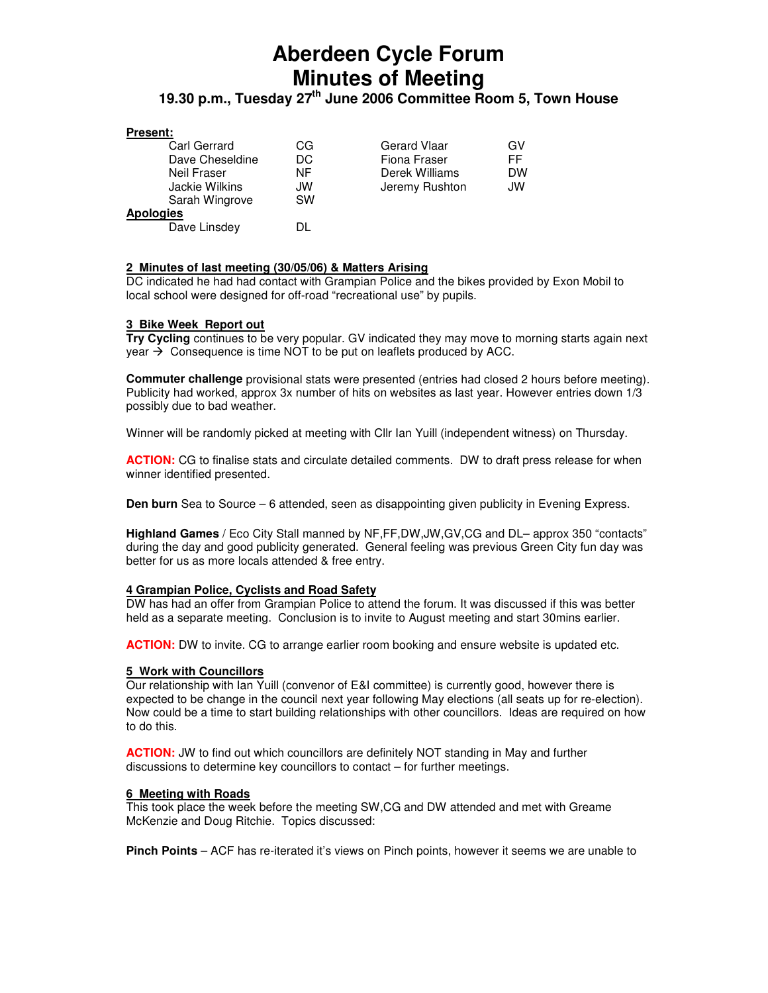# **Aberdeen Cycle Forum Minutes of Meeting**

# **19.30 p.m., Tuesday 27th June 2006 Committee Room 5, Town House**

# **Present:**

| <b>Carl Gerrard</b> | CG  | <b>Gerard Vlaar</b> | GV        |
|---------------------|-----|---------------------|-----------|
| Dave Cheseldine     | DC. | Fiona Fraser        | FF        |
| Neil Fraser         | ΝF  | Derek Williams      | <b>DW</b> |
| Jackie Wilkins      | JW  | Jeremy Rushton      | JW        |
| Sarah Wingrove      | SW  |                     |           |
| <b>Apologies</b>    |     |                     |           |
| Dave Linsdey        |     |                     |           |

# **2 Minutes of last meeting (30/05/06) & Matters Arising**

DC indicated he had had contact with Grampian Police and the bikes provided by Exon Mobil to local school were designed for off-road "recreational use" by pupils.

# **3 Bike Week Report out**

**Try Cycling** continues to be very popular. GV indicated they may move to morning starts again next year  $\rightarrow$  Consequence is time NOT to be put on leaflets produced by ACC.

**Commuter challenge** provisional stats were presented (entries had closed 2 hours before meeting). Publicity had worked, approx 3x number of hits on websites as last year. However entries down 1/3 possibly due to bad weather.

Winner will be randomly picked at meeting with Cllr Ian Yuill (independent witness) on Thursday.

**ACTION:** CG to finalise stats and circulate detailed comments. DW to draft press release for when winner identified presented.

**Den burn** Sea to Source – 6 attended, seen as disappointing given publicity in Evening Express.

**Highland Games** / Eco City Stall manned by NF,FF,DW,JW,GV,CG and DL– approx 350 "contacts" during the day and good publicity generated. General feeling was previous Green City fun day was better for us as more locals attended & free entry.

# **4 Grampian Police, Cyclists and Road Safety**

DW has had an offer from Grampian Police to attend the forum. It was discussed if this was better held as a separate meeting. Conclusion is to invite to August meeting and start 30mins earlier.

**ACTION:** DW to invite. CG to arrange earlier room booking and ensure website is updated etc.

# **5 Work with Councillors**

Our relationship with Ian Yuill (convenor of E&I committee) is currently good, however there is expected to be change in the council next year following May elections (all seats up for re-election). Now could be a time to start building relationships with other councillors. Ideas are required on how to do this.

**ACTION:** JW to find out which councillors are definitely NOT standing in May and further discussions to determine key councillors to contact – for further meetings.

# **6 Meeting with Roads**

This took place the week before the meeting SW,CG and DW attended and met with Greame McKenzie and Doug Ritchie. Topics discussed:

**Pinch Points** – ACF has re-iterated it's views on Pinch points, however it seems we are unable to